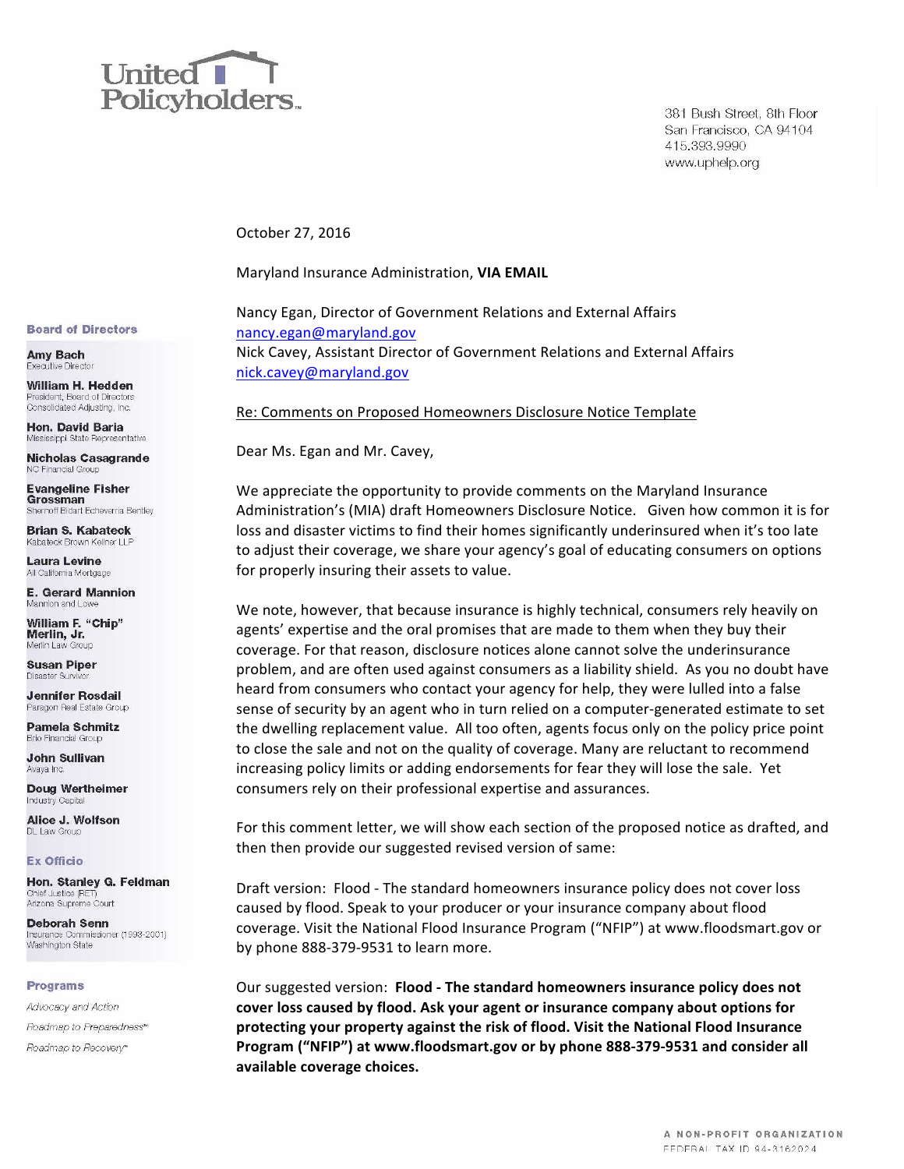

381 Bush Street, 8th Floor San Francisco, CA 94104 415.393.9990 www.uphelp.org

October 27, 2016

Maryland Insurance Administration, VIA EMAIL

Nancy Egan, Director of Government Relations and External Affairs nancy.egan@maryland.gov Nick Cavey, Assistant Director of Government Relations and External Affairs nick.cavey@maryland.gov

Re: Comments on Proposed Homeowners Disclosure Notice Template

Dear Ms. Egan and Mr. Cavey,

We appreciate the opportunity to provide comments on the Maryland Insurance Administration's (MIA) draft Homeowners Disclosure Notice. Given how common it is for loss and disaster victims to find their homes significantly underinsured when it's too late to adjust their coverage, we share your agency's goal of educating consumers on options for properly insuring their assets to value.

We note, however, that because insurance is highly technical, consumers rely heavily on agents' expertise and the oral promises that are made to them when they buy their coverage. For that reason, disclosure notices alone cannot solve the underinsurance problem, and are often used against consumers as a liability shield. As you no doubt have heard from consumers who contact your agency for help, they were lulled into a false sense of security by an agent who in turn relied on a computer-generated estimate to set the dwelling replacement value. All too often, agents focus only on the policy price point to close the sale and not on the quality of coverage. Many are reluctant to recommend increasing policy limits or adding endorsements for fear they will lose the sale. Yet consumers rely on their professional expertise and assurances.

For this comment letter, we will show each section of the proposed notice as drafted, and then then provide our suggested revised version of same:

Draft version: Flood - The standard homeowners insurance policy does not cover loss caused by flood. Speak to your producer or your insurance company about flood coverage. Visit the National Flood Insurance Program ("NFIP") at www.floodsmart.gov or by phone 888-379-9531 to learn more.

Our suggested version: **Flood - The standard homeowners insurance policy does not** cover loss caused by flood. Ask your agent or insurance company about options for protecting your property against the risk of flood. Visit the National Flood Insurance Program ("NFIP") at www.floodsmart.gov or by phone 888-379-9531 and consider all **available coverage choices.**

#### **Board of Directors**

**Amy Bach** Executive Director

William H. Hedden President, Board of Directors Consolidated Adjusting, Inc.

Hon. David Baria Mississippi State Representative

**Nicholas Casagrande** NC Financial Group

**Evangeline Fisher** Grossman Shernoff Bidart Echeverria Bentley

**Brian S. Kabateck** Kabateck Brown Kellner LLF

Laura Levine All California Mortgage

**E. Gerard Mannion** Mannion and Lowe

**William F. "Chip"** Merlin, Jr. Merlin Law Group

**Susan Piper** Disaster Survivor

**Jennifer Rosdail** Paragon Real Estate Group

**Pamela Schmitz Brio Financial Group** 

**John Sullivan** Avaya Inc

Doug Wertheimer Industry Capital

Alice J. Wolfson DL Law Group

### **Ex Officio**

Hon. Stanley G. Feldman Chief Justice (RET) Arizona Supreme Court

**Deborah Senn** Insurance Commissioner (1993-2001) Washington State

### **Programs**

Advocacy and Action Roadmap to Preparedness" Roadmap to Recovery<sup>®</sup>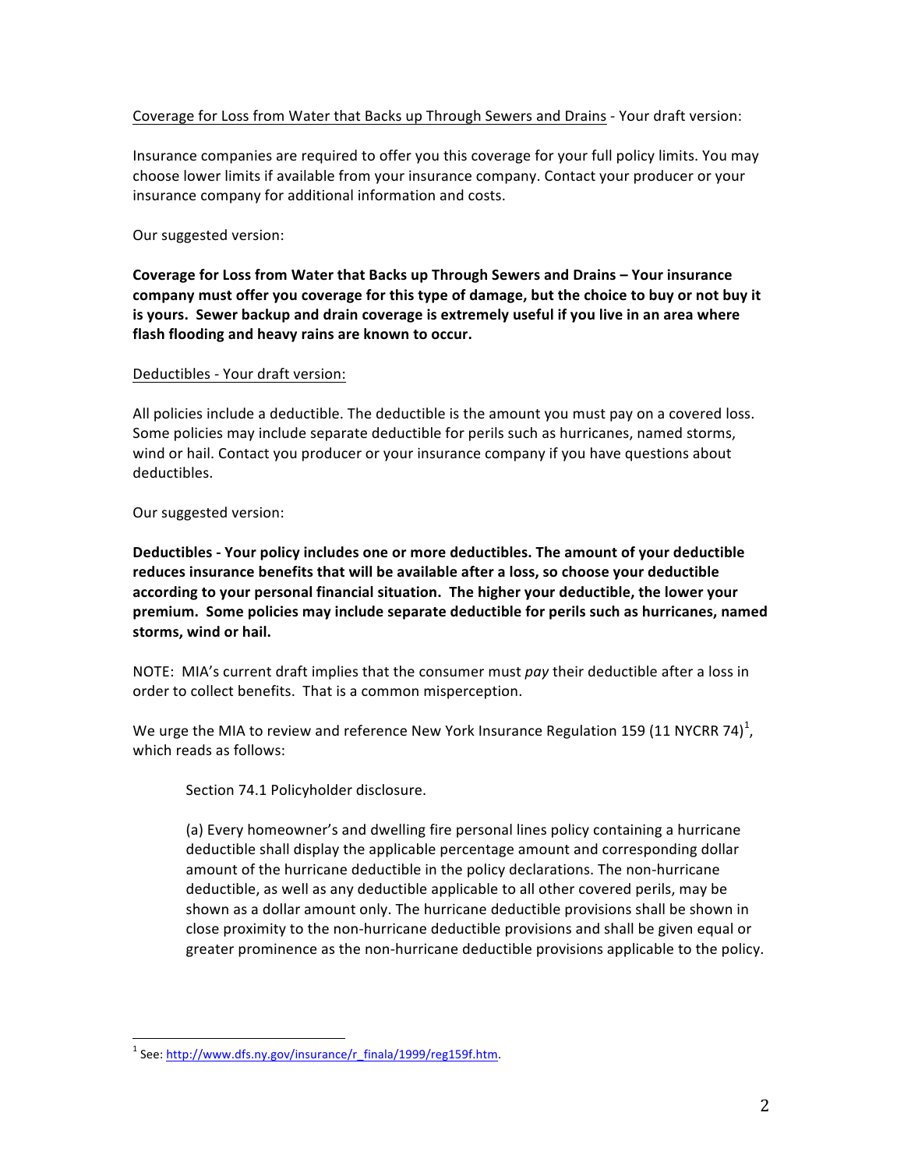# Coverage for Loss from Water that Backs up Through Sewers and Drains - Your draft version:

Insurance companies are required to offer you this coverage for your full policy limits. You may choose lower limits if available from your insurance company. Contact your producer or your insurance company for additional information and costs.

# Our suggested version:

**Coverage for Loss from Water that Backs up Through Sewers and Drains - Your insurance** company must offer you coverage for this type of damage, but the choice to buy or not buy it is yours. Sewer backup and drain coverage is extremely useful if you live in an area where flash flooding and heavy rains are known to occur.

# Deductibles - Your draft version:

All policies include a deductible. The deductible is the amount you must pay on a covered loss. Some policies may include separate deductible for perils such as hurricanes, named storms, wind or hail. Contact you producer or your insurance company if you have questions about deductibles.

# Our suggested version:

**Deductibles** - Your policy includes one or more deductibles. The amount of your deductible reduces insurance benefits that will be available after a loss, so choose your deductible according to your personal financial situation. The higher your deductible, the lower your premium. Some policies may include separate deductible for perils such as hurricanes, named storms, wind or hail.

NOTE: MIA's current draft implies that the consumer must *pay* their deductible after a loss in order to collect benefits. That is a common misperception.

We urge the MIA to review and reference New York Insurance Regulation 159 (11 NYCRR 74)<sup>1</sup>, which reads as follows:

Section 74.1 Policyholder disclosure.

(a) Every homeowner's and dwelling fire personal lines policy containing a hurricane deductible shall display the applicable percentage amount and corresponding dollar amount of the hurricane deductible in the policy declarations. The non-hurricane deductible, as well as any deductible applicable to all other covered perils, may be shown as a dollar amount only. The hurricane deductible provisions shall be shown in close proximity to the non-hurricane deductible provisions and shall be given equal or greater prominence as the non-hurricane deductible provisions applicable to the policy.

 $1$  See: http://www.dfs.ny.gov/insurance/r\_finala/1999/reg159f.htm.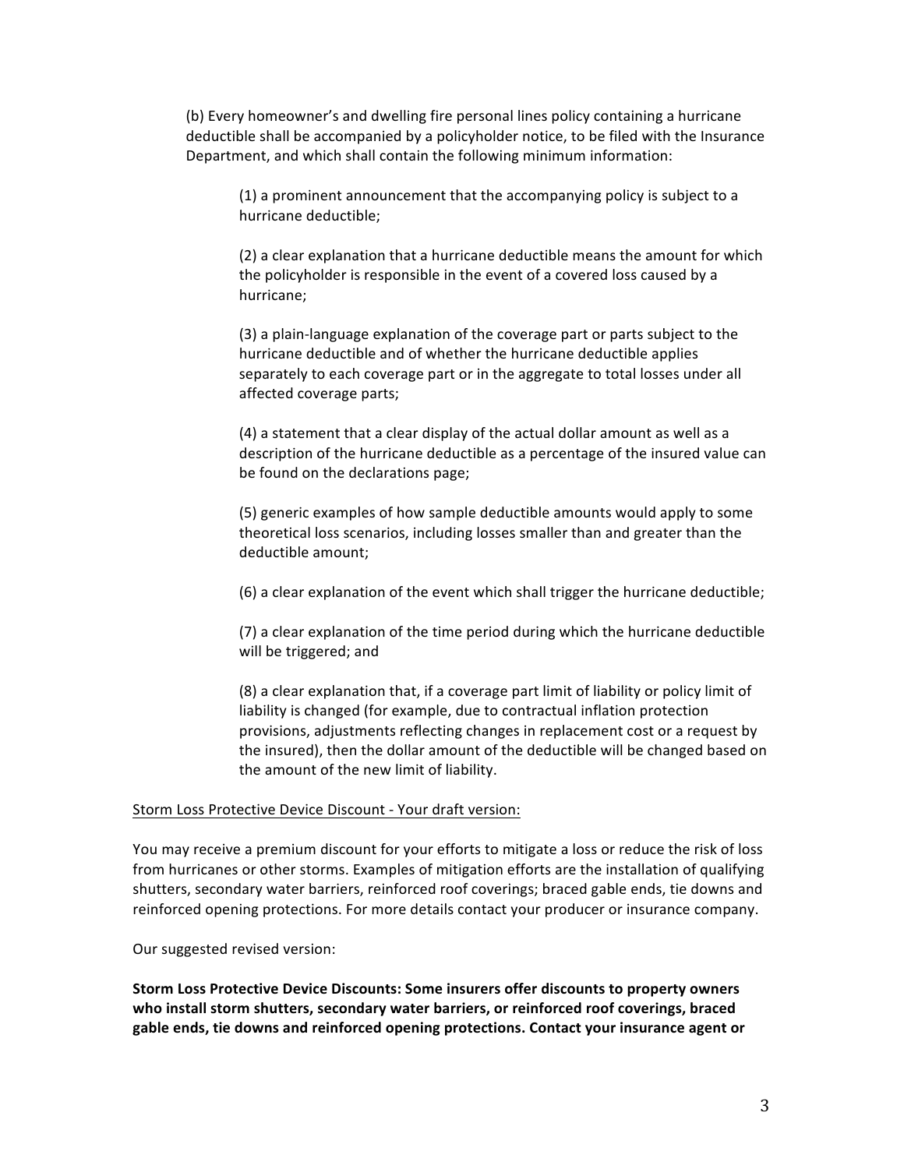(b) Every homeowner's and dwelling fire personal lines policy containing a hurricane deductible shall be accompanied by a policyholder notice, to be filed with the Insurance Department, and which shall contain the following minimum information:

(1) a prominent announcement that the accompanying policy is subject to a hurricane deductible;

(2) a clear explanation that a hurricane deductible means the amount for which the policyholder is responsible in the event of a covered loss caused by a hurricane;

(3) a plain-language explanation of the coverage part or parts subject to the hurricane deductible and of whether the hurricane deductible applies separately to each coverage part or in the aggregate to total losses under all affected coverage parts;

(4) a statement that a clear display of the actual dollar amount as well as a description of the hurricane deductible as a percentage of the insured value can be found on the declarations page;

(5) generic examples of how sample deductible amounts would apply to some theoretical loss scenarios, including losses smaller than and greater than the deductible amount;

(6) a clear explanation of the event which shall trigger the hurricane deductible;

(7) a clear explanation of the time period during which the hurricane deductible will be triggered; and

(8) a clear explanation that, if a coverage part limit of liability or policy limit of liability is changed (for example, due to contractual inflation protection provisions, adjustments reflecting changes in replacement cost or a request by the insured), then the dollar amount of the deductible will be changed based on the amount of the new limit of liability.

### Storm Loss Protective Device Discount - Your draft version:

You may receive a premium discount for your efforts to mitigate a loss or reduce the risk of loss from hurricanes or other storms. Examples of mitigation efforts are the installation of qualifying shutters, secondary water barriers, reinforced roof coverings; braced gable ends, tie downs and reinforced opening protections. For more details contact your producer or insurance company.

Our suggested revised version:

**Storm Loss Protective Device Discounts: Some insurers offer discounts to property owners** who install storm shutters, secondary water barriers, or reinforced roof coverings, braced gable ends, tie downs and reinforced opening protections. Contact your insurance agent or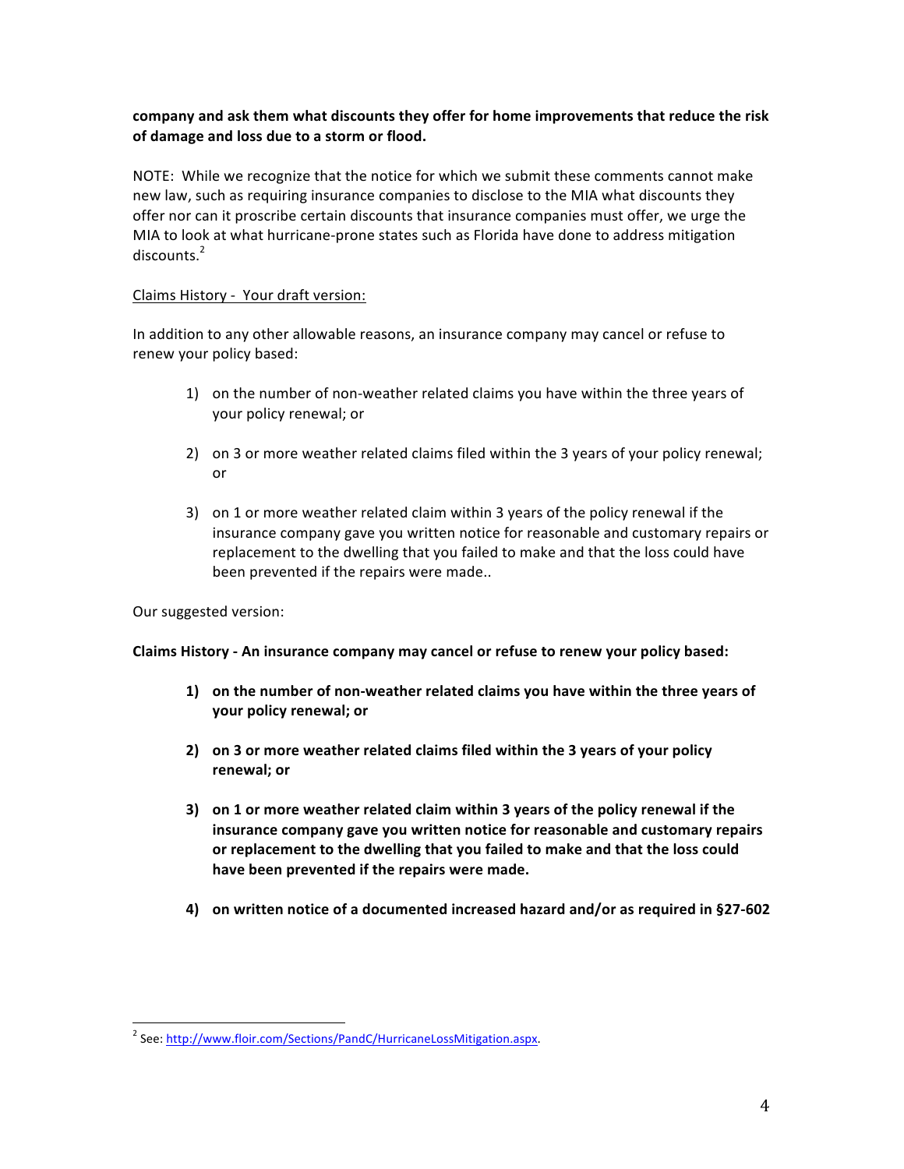# company and ask them what discounts they offer for home improvements that reduce the risk **of damage and loss due to a storm or flood.**

NOTE: While we recognize that the notice for which we submit these comments cannot make new law, such as requiring insurance companies to disclose to the MIA what discounts they offer nor can it proscribe certain discounts that insurance companies must offer, we urge the MIA to look at what hurricane-prone states such as Florida have done to address mitigation  $discounts.<sup>2</sup>$ 

# Claims History - Your draft version:

In addition to any other allowable reasons, an insurance company may cancel or refuse to renew your policy based:

- 1) on the number of non-weather related claims you have within the three years of your policy renewal; or
- 2) on 3 or more weather related claims filed within the 3 years of your policy renewal; or
- 3) on 1 or more weather related claim within 3 years of the policy renewal if the insurance company gave you written notice for reasonable and customary repairs or replacement to the dwelling that you failed to make and that the loss could have been prevented if the repairs were made..

Our suggested version:

Claims History - An insurance company may cancel or refuse to renew your policy based:

- 1) on the number of non-weather related claims you have within the three years of **your policy renewal; or**
- **2)** on 3 or more weather related claims filed within the 3 years of your policy **renewal; or**
- **3)** on 1 or more weather related claim within 3 years of the policy renewal if the **insurance company gave you written notice for reasonable and customary repairs** or replacement to the dwelling that you failed to make and that the loss could have been prevented if the repairs were made.
- **4)** on written notice of a documented increased hazard and/or as required in §27-602

<sup>&</sup>lt;sup>2</sup> See: http://www.floir.com/Sections/PandC/HurricaneLossMitigation.aspx.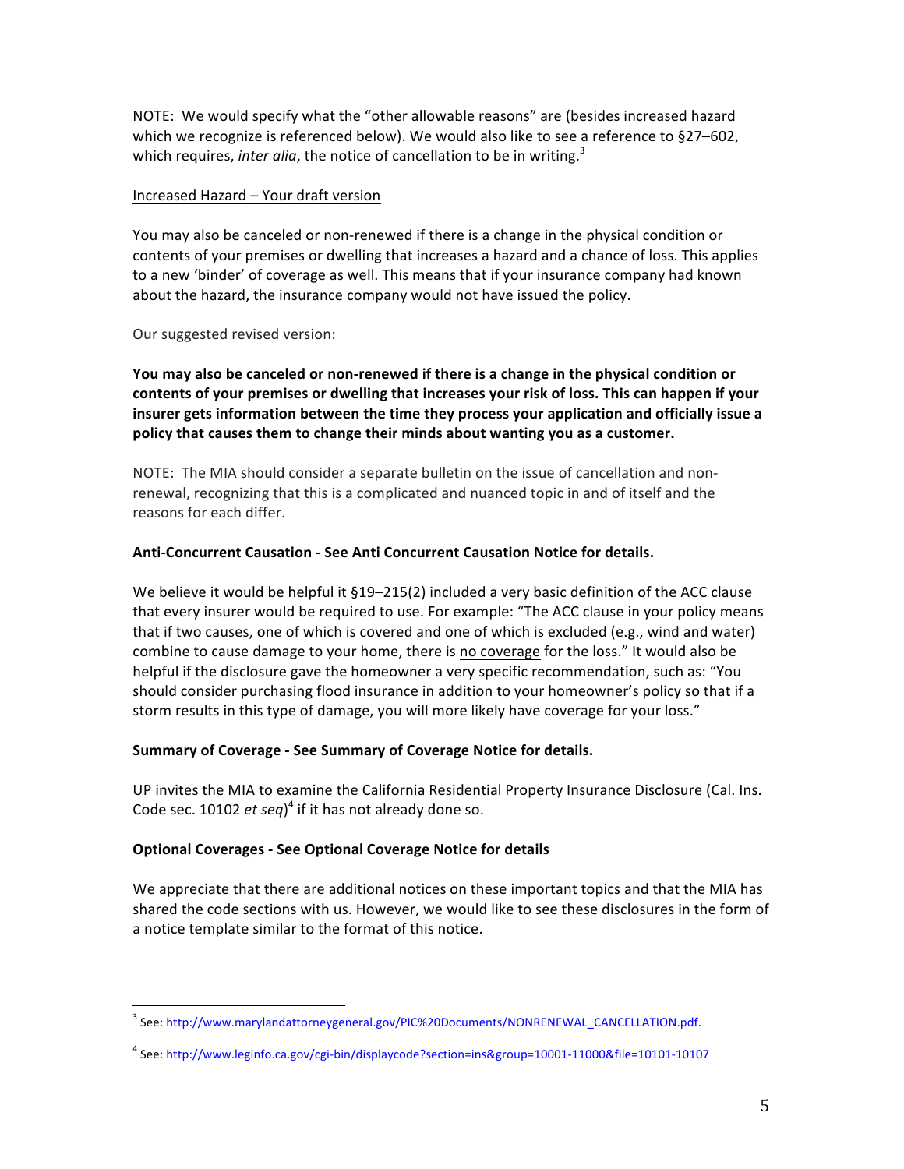NOTE: We would specify what the "other allowable reasons" are (besides increased hazard which we recognize is referenced below). We would also like to see a reference to §27–602, which requires, *inter alia*, the notice of cancellation to be in writing.<sup>3</sup>

# Increased Hazard - Your draft version

You may also be canceled or non-renewed if there is a change in the physical condition or contents of your premises or dwelling that increases a hazard and a chance of loss. This applies to a new 'binder' of coverage as well. This means that if your insurance company had known about the hazard, the insurance company would not have issued the policy.

Our suggested revised version:

You may also be canceled or non-renewed if there is a change in the physical condition or contents of your premises or dwelling that increases your risk of loss. This can happen if your insurer gets information between the time they process your application and officially issue a policy that causes them to change their minds about wanting you as a customer.

NOTE: The MIA should consider a separate bulletin on the issue of cancellation and nonrenewal, recognizing that this is a complicated and nuanced topic in and of itself and the reasons for each differ.

# **Anti-Concurrent Causation - See Anti Concurrent Causation Notice for details.**

We believe it would be helpful it  $\S19-215(2)$  included a very basic definition of the ACC clause that every insurer would be required to use. For example: "The ACC clause in your policy means that if two causes, one of which is covered and one of which is excluded (e.g., wind and water) combine to cause damage to your home, there is no coverage for the loss." It would also be helpful if the disclosure gave the homeowner a very specific recommendation, such as: "You should consider purchasing flood insurance in addition to your homeowner's policy so that if a storm results in this type of damage, you will more likely have coverage for your loss."

# **Summary of Coverage - See Summary of Coverage Notice for details.**

UP invites the MIA to examine the California Residential Property Insurance Disclosure (Cal. Ins. Code sec. 10102 *et seq*)<sup>4</sup> if it has not already done so.

# **Optional Coverages - See Optional Coverage Notice for details**

We appreciate that there are additional notices on these important topics and that the MIA has shared the code sections with us. However, we would like to see these disclosures in the form of a notice template similar to the format of this notice.

<sup>&</sup>lt;sup>3</sup> See: http://www.marylandattorneygeneral.gov/PIC%20Documents/NONRENEWAL\_CANCELLATION.pdf.

<sup>4</sup> See: http://www.leginfo.ca.gov/cgi-bin/displaycode?section=ins&group=10001-11000&file=10101-10107